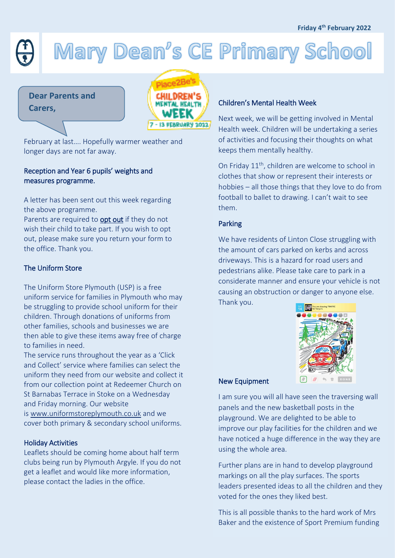# Mary Dean's CE Primary School

**Dear Parents and** 



February at last…. Hopefully warmer weather and longer days are not far away.

# Reception and Year 6 pupils' weights and measures programme.

A letter has been sent out this week regarding the above programme.

Parents are required to **opt out** if they do not wish their child to take part. If you wish to opt out, please make sure you return your form to the office. Thank you.

# The Uniform Store

The Uniform Store Plymouth (USP) is a free uniform service for families in Plymouth who may be struggling to provide school uniform for their children. Through donations of uniforms from other families, schools and businesses we are then able to give these items away free of charge to families in need.

The service runs throughout the year as a 'Click and Collect' service where families can select the uniform they need from our website and collect it from our collection point at Redeemer Church on St Barnabas Terrace in Stoke on a Wednesday and Friday morning. Our website

is [www.uniformstoreplymouth.co.uk](http://www.uniformstoreplymouth.co.uk/) and we cover both primary & secondary school uniforms.

### Holiday Activities

Leaflets should be coming home about half term clubs being run by Plymouth Argyle. If you do not get a leaflet and would like more information, please contact the ladies in the office.

Next week, we will be getting involved in Mental Health week. Children will be undertaking a series of activities and focusing their thoughts on what keeps them mentally healthy.

On Friday 11<sup>th</sup>, children are welcome to school in clothes that show or represent their interests or hobbies – all those things that they love to do from football to ballet to drawing. I can't wait to see them.

### Parking

We have residents of Linton Close struggling with the amount of cars parked on kerbs and across driveways. This is a hazard for road users and pedestrians alike. Please take care to park in a considerate manner and ensure your vehicle is not causing an obstruction or danger to anyone else. Thank you.



### New Equipment

I am sure you will all have seen the traversing wall panels and the new basketball posts in the playground. We are delighted to be able to improve our play facilities for the children and we have noticed a huge difference in the way they are using the whole area.

Further plans are in hand to develop playground markings on all the play surfaces. The sports leaders presented ideas to all the children and they voted for the ones they liked best.

This is all possible thanks to the hard work of Mrs Baker and the existence of Sport Premium funding